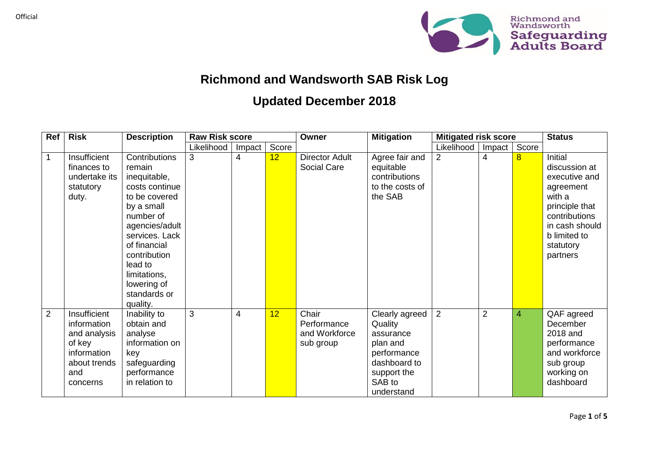

## **Richmond and Wandsworth SAB Risk Log**

## **Updated December 2018**

| Ref         | <b>Risk</b>                                                                                             | <b>Description</b>                                                                                                                                                                                                                              | <b>Raw Risk score</b> |        |       | Owner                                              | <b>Mitigation</b>                                                                                                        | <b>Mitigated risk score</b> |                | <b>Status</b>  |                                                                                                                                                                |
|-------------|---------------------------------------------------------------------------------------------------------|-------------------------------------------------------------------------------------------------------------------------------------------------------------------------------------------------------------------------------------------------|-----------------------|--------|-------|----------------------------------------------------|--------------------------------------------------------------------------------------------------------------------------|-----------------------------|----------------|----------------|----------------------------------------------------------------------------------------------------------------------------------------------------------------|
|             |                                                                                                         |                                                                                                                                                                                                                                                 | Likelihood            | Impact | Score |                                                    |                                                                                                                          | Likelihood                  | Impact         | Score          |                                                                                                                                                                |
| $\mathbf 1$ | Insufficient<br>finances to<br>undertake its<br>statutory<br>duty.                                      | Contributions<br>remain<br>inequitable,<br>costs continue<br>to be covered<br>by a small<br>number of<br>agencies/adult<br>services. Lack<br>of financial<br>contribution<br>lead to<br>limitations,<br>lowering of<br>standards or<br>quality. | 3                     | 4      | 12    | <b>Director Adult</b><br>Social Care               | Agree fair and<br>equitable<br>contributions<br>to the costs of<br>the SAB                                               | $\overline{2}$              | 4              | $\overline{8}$ | Initial<br>discussion at<br>executive and<br>agreement<br>with a<br>principle that<br>contributions<br>in cash should<br>b limited to<br>statutory<br>partners |
| 2           | Insufficient<br>information<br>and analysis<br>of key<br>information<br>about trends<br>and<br>concerns | Inability to<br>obtain and<br>analyse<br>information on<br>key<br>safeguarding<br>performance<br>in relation to                                                                                                                                 | 3                     | 4      | 12    | Chair<br>Performance<br>and Workforce<br>sub group | Clearly agreed<br>Quality<br>assurance<br>plan and<br>performance<br>dashboard to<br>support the<br>SAB to<br>understand | $\overline{2}$              | $\overline{2}$ | 4              | QAF agreed<br>December<br>2018 and<br>performance<br>and workforce<br>sub group<br>working on<br>dashboard                                                     |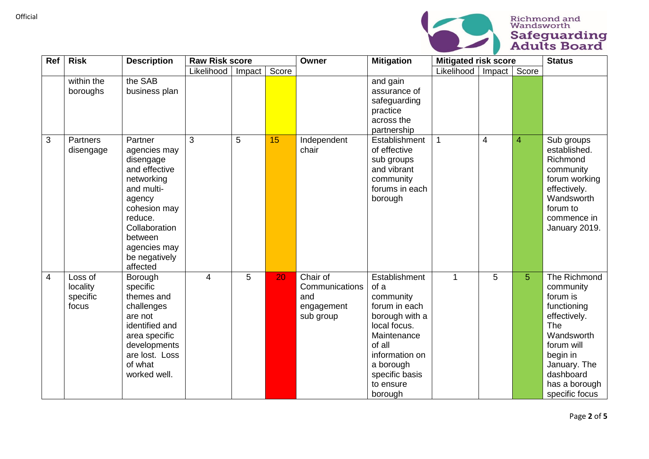

| Ref            | <b>Risk</b>                              | <b>Description</b>                                                                                                                                                                              | <b>Raw Risk score</b> |        | Owner<br><b>Mitigation</b> | <b>Mitigated risk score</b>                                  |                                                                                                                                                                                         |                     | <b>Status</b> |                |                                                                                                                                                                                     |
|----------------|------------------------------------------|-------------------------------------------------------------------------------------------------------------------------------------------------------------------------------------------------|-----------------------|--------|----------------------------|--------------------------------------------------------------|-----------------------------------------------------------------------------------------------------------------------------------------------------------------------------------------|---------------------|---------------|----------------|-------------------------------------------------------------------------------------------------------------------------------------------------------------------------------------|
|                |                                          |                                                                                                                                                                                                 | Likelihood            | Impact | Score                      |                                                              |                                                                                                                                                                                         | Likelihood   Impact |               | Score          |                                                                                                                                                                                     |
|                | within the<br>boroughs                   | the SAB<br>business plan                                                                                                                                                                        |                       |        |                            |                                                              | and gain<br>assurance of<br>safeguarding<br>practice<br>across the<br>partnership                                                                                                       |                     |               |                |                                                                                                                                                                                     |
| 3              | Partners<br>disengage                    | Partner<br>agencies may<br>disengage<br>and effective<br>networking<br>and multi-<br>agency<br>cohesion may<br>reduce.<br>Collaboration<br>between<br>agencies may<br>be negatively<br>affected | 3                     | 5      | 15                         | Independent<br>chair                                         | Establishment<br>of effective<br>sub groups<br>and vibrant<br>community<br>forums in each<br>borough                                                                                    | $\mathbf 1$         | 4             | $\overline{4}$ | Sub groups<br>established.<br>Richmond<br>community<br>forum working<br>effectively.<br>Wandsworth<br>forum to<br>commence in<br>January 2019.                                      |
| $\overline{4}$ | Loss of<br>locality<br>specific<br>focus | Borough<br>specific<br>themes and<br>challenges<br>are not<br>identified and<br>area specific<br>developments<br>are lost. Loss<br>of what<br>worked well.                                      | $\overline{4}$        | 5      | 20                         | Chair of<br>Communications<br>and<br>engagement<br>sub group | Establishment<br>of a<br>community<br>forum in each<br>borough with a<br>local focus.<br>Maintenance<br>of all<br>information on<br>a borough<br>specific basis<br>to ensure<br>borough | $\overline{1}$      | 5             | 5              | The Richmond<br>community<br>forum is<br>functioning<br>effectively.<br>The<br>Wandsworth<br>forum will<br>begin in<br>January. The<br>dashboard<br>has a borough<br>specific focus |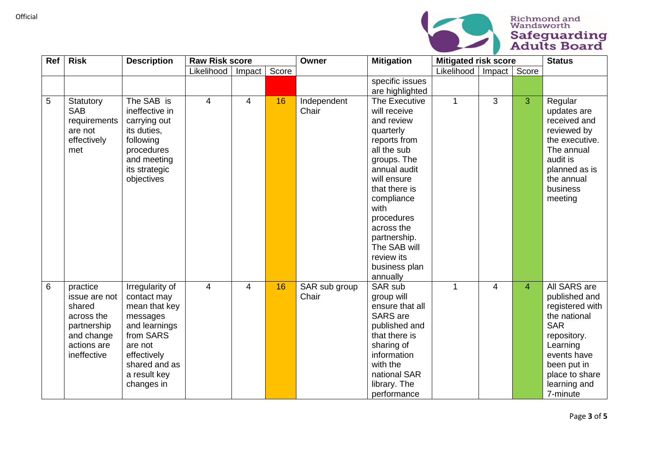

| Ref | <b>Risk</b>                                                                                                  | <b>Description</b>                                                                                                                                                 | <b>Raw Risk score</b> |                | Owner | <b>Mitigation</b>      | <b>Mitigated risk score</b>                                                                                                                                                                                                                                                         |                     |                | <b>Status</b>  |                                                                                                                                                                                       |
|-----|--------------------------------------------------------------------------------------------------------------|--------------------------------------------------------------------------------------------------------------------------------------------------------------------|-----------------------|----------------|-------|------------------------|-------------------------------------------------------------------------------------------------------------------------------------------------------------------------------------------------------------------------------------------------------------------------------------|---------------------|----------------|----------------|---------------------------------------------------------------------------------------------------------------------------------------------------------------------------------------|
|     |                                                                                                              |                                                                                                                                                                    | Likelihood            | Impact         | Score |                        |                                                                                                                                                                                                                                                                                     | Likelihood   Impact |                | Score          |                                                                                                                                                                                       |
|     |                                                                                                              |                                                                                                                                                                    |                       |                |       |                        | specific issues<br>are highlighted                                                                                                                                                                                                                                                  |                     |                |                |                                                                                                                                                                                       |
| 5   | Statutory<br><b>SAB</b><br>requirements<br>are not<br>effectively<br>met                                     | The SAB is<br>ineffective in<br>carrying out<br>its duties,<br>following<br>procedures<br>and meeting<br>its strategic<br>objectives                               | $\overline{4}$        | 4              | 16    | Independent<br>Chair   | The Executive<br>will receive<br>and review<br>quarterly<br>reports from<br>all the sub<br>groups. The<br>annual audit<br>will ensure<br>that there is<br>compliance<br>with<br>procedures<br>across the<br>partnership.<br>The SAB will<br>review its<br>business plan<br>annually | $\mathbf 1$         | 3              | 3              | Regular<br>updates are<br>received and<br>reviewed by<br>the executive.<br>The annual<br>audit is<br>planned as is<br>the annual<br>business<br>meeting                               |
| 6   | practice<br>issue are not<br>shared<br>across the<br>partnership<br>and change<br>actions are<br>ineffective | Irregularity of<br>contact may<br>mean that key<br>messages<br>and learnings<br>from SARS<br>are not<br>effectively<br>shared and as<br>a result key<br>changes in | $\overline{4}$        | $\overline{4}$ | 16    | SAR sub group<br>Chair | SAR sub<br>group will<br>ensure that all<br><b>SARS</b> are<br>published and<br>that there is<br>sharing of<br>information<br>with the<br>national SAR<br>library. The<br>performance                                                                                               | $\overline{1}$      | $\overline{4}$ | $\overline{4}$ | All SARS are<br>published and<br>registered with<br>the national<br><b>SAR</b><br>repository.<br>Learning<br>events have<br>been put in<br>place to share<br>learning and<br>7-minute |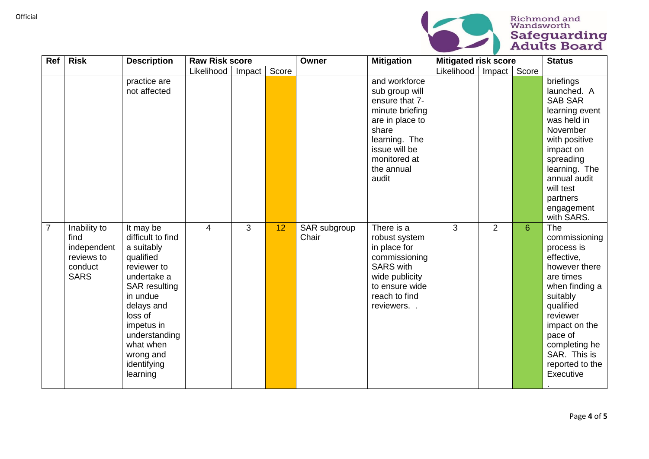

| Ref            | <b>Risk</b>                                                                 | <b>Description</b>                                                                                                                                                                                                                       | <b>Raw Risk score</b> |        | Owner | <b>Mitigation</b>     | <b>Mitigated risk score</b>                                                                                                                                               |            |                | <b>Status</b> |                                                                                                                                                                                                                                    |
|----------------|-----------------------------------------------------------------------------|------------------------------------------------------------------------------------------------------------------------------------------------------------------------------------------------------------------------------------------|-----------------------|--------|-------|-----------------------|---------------------------------------------------------------------------------------------------------------------------------------------------------------------------|------------|----------------|---------------|------------------------------------------------------------------------------------------------------------------------------------------------------------------------------------------------------------------------------------|
|                |                                                                             |                                                                                                                                                                                                                                          | Likelihood            | Impact | Score |                       |                                                                                                                                                                           | Likelihood | Impact         | Score         |                                                                                                                                                                                                                                    |
|                |                                                                             | practice are<br>not affected                                                                                                                                                                                                             |                       |        |       |                       | and workforce<br>sub group will<br>ensure that 7-<br>minute briefing<br>are in place to<br>share<br>learning. The<br>issue will be<br>monitored at<br>the annual<br>audit |            |                |               | briefings<br>launched. A<br><b>SAB SAR</b><br>learning event<br>was held in<br>November<br>with positive<br>impact on<br>spreading<br>learning. The<br>annual audit<br>will test<br>partners<br>engagement<br>with SARS.           |
| $\overline{7}$ | Inability to<br>find<br>independent<br>reviews to<br>conduct<br><b>SARS</b> | It may be<br>difficult to find<br>a suitably<br>qualified<br>reviewer to<br>undertake a<br><b>SAR</b> resulting<br>in undue<br>delays and<br>loss of<br>impetus in<br>understanding<br>what when<br>wrong and<br>identifying<br>learning | 4                     | 3      | 12    | SAR subgroup<br>Chair | There is a<br>robust system<br>in place for<br>commissioning<br><b>SARS</b> with<br>wide publicity<br>to ensure wide<br>reach to find<br>reviewers. .                     | 3          | $\overline{2}$ | 6             | The<br>commissioning<br>process is<br>effective,<br>however there<br>are times<br>when finding a<br>suitably<br>qualified<br>reviewer<br>impact on the<br>pace of<br>completing he<br>SAR. This is<br>reported to the<br>Executive |